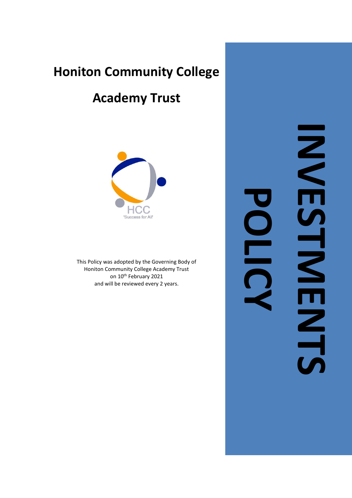# **Honiton Community College**

## **Academy Trust**



This Policy was adopted by the Governing Body of Honiton Community College Academy Trust on 10<sup>th</sup> February 2021 and will be reviewed every 2 years.

**NESHRAINES** NESTMENTS

**POLICY**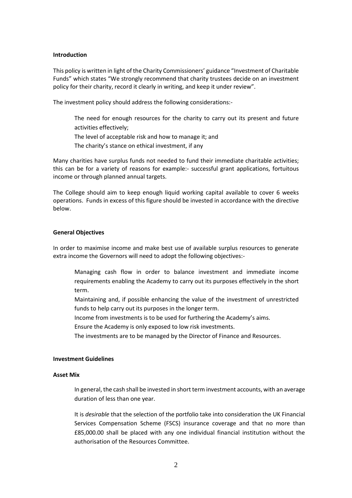## **Introduction**

This policy is written in light of the Charity Commissioners' guidance "Investment of Charitable Funds" which states "We strongly recommend that charity trustees decide on an investment policy for their charity, record it clearly in writing, and keep it under review".

The investment policy should address the following considerations:-

- The need for enough resources for the charity to carry out its present and future activities effectively;
- The level of acceptable risk and how to manage it; and
- The charity's stance on ethical investment, if any

Many charities have surplus funds not needed to fund their immediate charitable activities; this can be for a variety of reasons for example:- successful grant applications, fortuitous income or through planned annual targets.

The College should aim to keep enough liquid working capital available to cover 6 weeks operations. Funds in excess of this figure should be invested in accordance with the directive below.

## **General Objectives**

In order to maximise income and make best use of available surplus resources to generate extra income the Governors will need to adopt the following objectives:-

- Managing cash flow in order to balance investment and immediate income requirements enabling the Academy to carry out its purposes effectively in the short term.
- Maintaining and, if possible enhancing the value of the investment of unrestricted funds to help carry out its purposes in the longer term.
- Income from investments is to be used for furthering the Academy's aims.

Ensure the Academy is only exposed to low risk investments.

The investments are to be managed by the Director of Finance and Resources.

## **Investment Guidelines**

### **Asset Mix**

In general, the cash shall be invested in short term investment accounts, with an average duration of less than one year.

It is *desirable* that the selection of the portfolio take into consideration the UK Financial Services Compensation Scheme (FSCS) insurance coverage and that no more than £85,000.00 shall be placed with any one individual financial institution without the authorisation of the Resources Committee.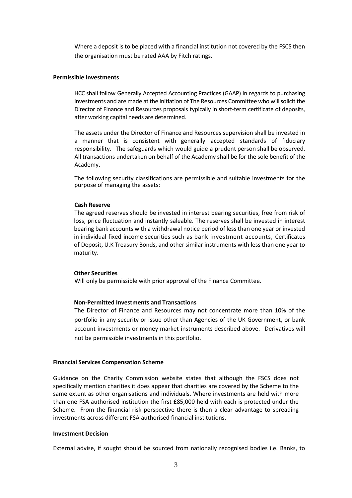Where a deposit is to be placed with a financial institution not covered by the FSCS then the organisation must be rated AAA by Fitch ratings.

#### **Permissible Investments**

HCC shall follow Generally Accepted Accounting Practices (GAAP) in regards to purchasing investments and are made at the initiation of The Resources Committee who willsolicit the Director of Finance and Resources proposals typically in short-term certificate of deposits, after working capital needs are determined.

The assets under the Director of Finance and Resources supervision shall be invested in a manner that is consistent with generally accepted standards of fiduciary responsibility. The safeguards which would guide a prudent person shall be observed. All transactions undertaken on behalf of the Academy shall be for the sole benefit of the Academy.

The following security classifications are permissible and suitable investments for the purpose of managing the assets:

## **Cash Reserve**

The agreed reserves should be invested in interest bearing securities, free from risk of loss, price fluctuation and instantly saleable. The reserves shall be invested in interest bearing bank accounts with a withdrawal notice period of less than one year or invested in individual fixed income securities such as bank investment accounts, Certificates of Deposit, U.K Treasury Bonds, and other similar instruments with less than one year to maturity.

#### **Other Securities**

Will only be permissible with prior approval of the Finance Committee.

### **Non-Permitted Investments and Transactions**

The Director of Finance and Resources may not concentrate more than 10% of the portfolio in any security or issue other than Agencies of the UK Government, or bank account investments or money market instruments described above. Derivatives will not be permissible investments in this portfolio.

## **Financial Services Compensation Scheme**

Guidance on the Charity Commission website states that although the FSCS does not specifically mention charities it does appear that charities are covered by the Scheme to the same extent as other organisations and individuals. Where investments are held with more than one FSA authorised institution the first £85,000 held with each is protected under the Scheme. From the financial risk perspective there is then a clear advantage to spreading investments across different FSA authorised financial institutions.

### **Investment Decision**

External advise, if sought should be sourced from nationally recognised bodies i.e. Banks, to